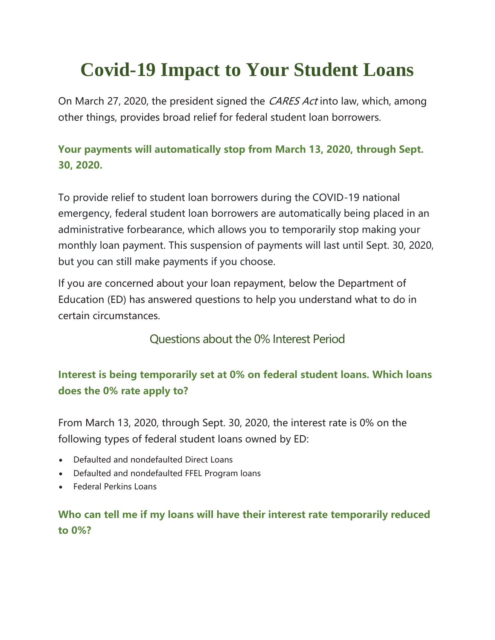# **Covid-19 Impact to Your Student Loans**

On March 27, 2020, the president signed the CARES Act into law, which, among other things, provides broad relief for federal student loan borrowers.

## **Your payments will automatically stop from March 13, 2020, through Sept. 30, 2020.**

To provide relief to student loan borrowers during the COVID-19 national emergency, federal student loan borrowers are automatically being placed in an administrative forbearance, which allows you to temporarily stop making your monthly loan payment. This suspension of payments will last until Sept. 30, 2020, but you can still make payments if you choose.

If you are concerned about your loan repayment, below the Department of Education (ED) has answered questions to help you understand what to do in certain circumstances.

Questions about the 0% Interest Period

## **Interest is being temporarily set at 0% on federal student loans. Which loans does the 0% rate apply to?**

From March 13, 2020, through Sept. 30, 2020, the interest rate is 0% on the following types of federal student loans owned by ED:

- Defaulted and nondefaulted Direct Loans
- Defaulted and nondefaulted FFEL Program loans
- Federal Perkins Loans

## **Who can tell me if my loans will have their interest rate temporarily reduced to 0%?**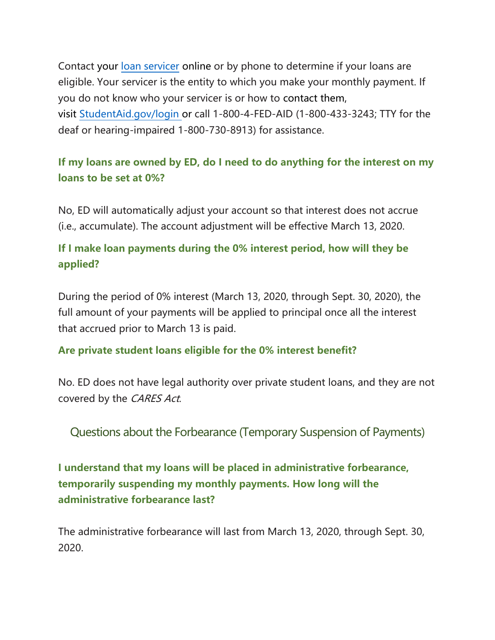Contact your [loan servicer](https://studentaid.gov/manage-loans/repayment/servicers#your-servicer) online or by phone to determine if your loans are eligible. Your servicer is the entity to which you make your monthly payment. If you do not know who your servicer is or how to contact them, visit [StudentAid.gov/login](https://studentaid.gov/fsa-id/sign-in/landing) or call 1-800-4-FED-AID (1-800-433-3243; TTY for the deaf or hearing-impaired 1-800-730-8913) for assistance.

## **If my loans are owned by ED, do I need to do anything for the interest on my loans to be set at 0%?**

No, ED will automatically adjust your account so that interest does not accrue (i.e., accumulate). The account adjustment will be effective March 13, 2020.

## **If I make loan payments during the 0% interest period, how will they be applied?**

During the period of 0% interest (March 13, 2020, through Sept. 30, 2020), the full amount of your payments will be applied to principal once all the interest that accrued prior to March 13 is paid.

#### **Are private student loans eligible for the 0% interest benefit?**

No. ED does not have legal authority over private student loans, and they are not covered by the CARES Act.

Questions about the Forbearance (Temporary Suspension of Payments)

**I understand that my loans will be placed in administrative forbearance, temporarily suspending my monthly payments. How long will the administrative forbearance last?**

The administrative forbearance will last from March 13, 2020, through Sept. 30, 2020.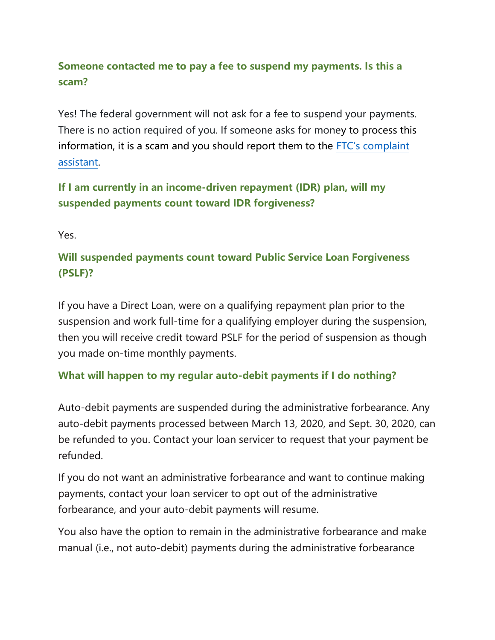## **Someone contacted me to pay a fee to suspend my payments. Is this a scam?**

Yes! The federal government will not ask for a fee to suspend your payments. There is no action required of you. If someone asks for money to process this information, it is a scam and you should report them to the [FTC's complaint](https://www.ftccomplaintassistant.gov/#crnt&panel1-1)  [assistant.](https://www.ftccomplaintassistant.gov/#crnt&panel1-1)

**If I am currently in an income-driven repayment (IDR) plan, will my suspended payments count toward IDR forgiveness?**

Yes.

## **Will suspended payments count toward Public Service Loan Forgiveness (PSLF)?**

If you have a Direct Loan, were on a qualifying repayment plan prior to the suspension and work full-time for a qualifying employer during the suspension, then you will receive credit toward PSLF for the period of suspension as though you made on-time monthly payments.

### **What will happen to my regular auto-debit payments if I do nothing?**

Auto-debit payments are suspended during the administrative forbearance. Any auto-debit payments processed between March 13, 2020, and Sept. 30, 2020, can be refunded to you. Contact your loan servicer to request that your payment be refunded.

If you do not want an administrative forbearance and want to continue making payments, contact your loan servicer to opt out of the administrative forbearance, and your auto-debit payments will resume.

You also have the option to remain in the administrative forbearance and make manual (i.e., not auto-debit) payments during the administrative forbearance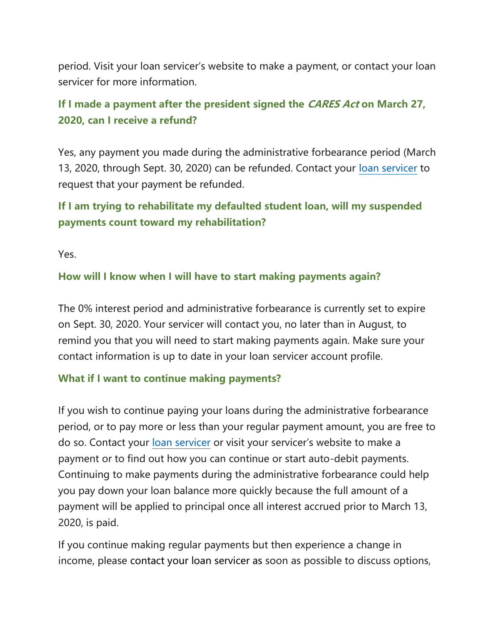period. Visit your loan servicer's website to make a payment, or contact your loan servicer for more information.

## **If I made a payment after the president signed the CARES Act on March 27, 2020, can I receive a refund?**

Yes, any payment you made during the administrative forbearance period (March 13, 2020, through Sept. 30, 2020) can be refunded. Contact your [loan servicer](https://studentaid.gov/manage-loans/repayment/servicers#your-servicer) to request that your payment be refunded.

## **If I am trying to rehabilitate my defaulted student loan, will my suspended payments count toward my rehabilitation?**

Yes.

#### **How will I know when I will have to start making payments again?**

The 0% interest period and administrative forbearance is currently set to expire on Sept. 30, 2020. Your servicer will contact you, no later than in August, to remind you that you will need to start making payments again. Make sure your contact information is up to date in your loan servicer account profile.

#### **What if I want to continue making payments?**

If you wish to continue paying your loans during the administrative forbearance period, or to pay more or less than your regular payment amount, you are free to do so. Contact your [loan servicer](https://studentaid.gov/manage-loans/repayment/servicers#your-servicer) or visit your servicer's website to make a payment or to find out how you can continue or start auto-debit payments. Continuing to make payments during the administrative forbearance could help you pay down your loan balance more quickly because the full amount of a payment will be applied to principal once all interest accrued prior to March 13, 2020, is paid.

If you continue making regular payments but then experience a change in income, please contact your [loan servicer](https://studentaid.gov/manage-loans/repayment/servicers#your-servicer) as soon as possible to discuss options,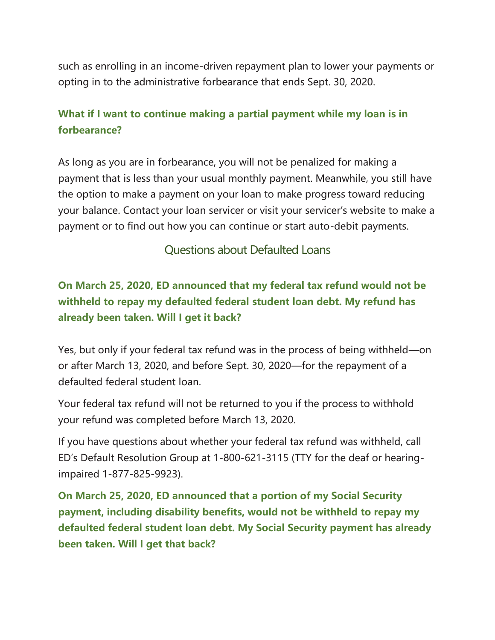such as enrolling in an income-driven repayment plan to lower your payments or opting in to the administrative forbearance that ends Sept. 30, 2020.

## **What if I want to continue making a partial payment while my loan is in forbearance?**

As long as you are in forbearance, you will not be penalized for making a payment that is less than your usual monthly payment. Meanwhile, you still have the option to make a payment on your loan to make progress toward reducing your balance. Contact your loan servicer or visit your servicer's website to make a payment or to find out how you can continue or start auto-debit payments.

#### Questions about Defaulted Loans

## **On March 25, 2020, ED announced that my federal tax refund would not be withheld to repay my defaulted federal student loan debt. My refund has already been taken. Will I get it back?**

Yes, but only if your federal tax refund was in the process of being withheld—on or after March 13, 2020, and before Sept. 30, 2020—for the repayment of a defaulted federal student loan.

Your federal tax refund will not be returned to you if the process to withhold your refund was completed before March 13, 2020.

If you have questions about whether your federal tax refund was withheld, call ED's Default Resolution Group at 1-800-621-3115 (TTY for the deaf or hearingimpaired 1-877-825-9923).

**On March 25, 2020, ED announced that a portion of my Social Security payment, including disability benefits, would not be withheld to repay my defaulted federal student loan debt. My Social Security payment has already been taken. Will I get that back?**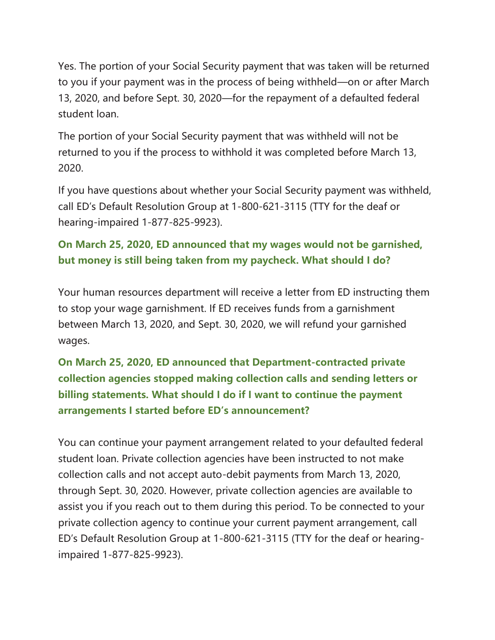Yes. The portion of your Social Security payment that was taken will be returned to you if your payment was in the process of being withheld—on or after March 13, 2020, and before Sept. 30, 2020—for the repayment of a defaulted federal student loan.

The portion of your Social Security payment that was withheld will not be returned to you if the process to withhold it was completed before March 13, 2020.

If you have questions about whether your Social Security payment was withheld, call ED's Default Resolution Group at 1-800-621-3115 (TTY for the deaf or hearing-impaired 1-877-825-9923).

## **On March 25, 2020, ED announced that my wages would not be garnished, but money is still being taken from my paycheck. What should I do?**

Your human resources department will receive a letter from ED instructing them to stop your wage garnishment. If ED receives funds from a garnishment between March 13, 2020, and Sept. 30, 2020, we will refund your garnished wages.

# **On March 25, 2020, ED announced that Department-contracted private collection agencies stopped making collection calls and sending letters or billing statements. What should I do if I want to continue the payment arrangements I started before ED's announcement?**

You can continue your payment arrangement related to your defaulted federal student loan. Private collection agencies have been instructed to not make collection calls and not accept auto-debit payments from March 13, 2020, through Sept. 30, 2020. However, private collection agencies are available to assist you if you reach out to them during this period. To be connected to your private collection agency to continue your current payment arrangement, call ED's Default Resolution Group at 1-800-621-3115 (TTY for the deaf or hearingimpaired 1-877-825-9923).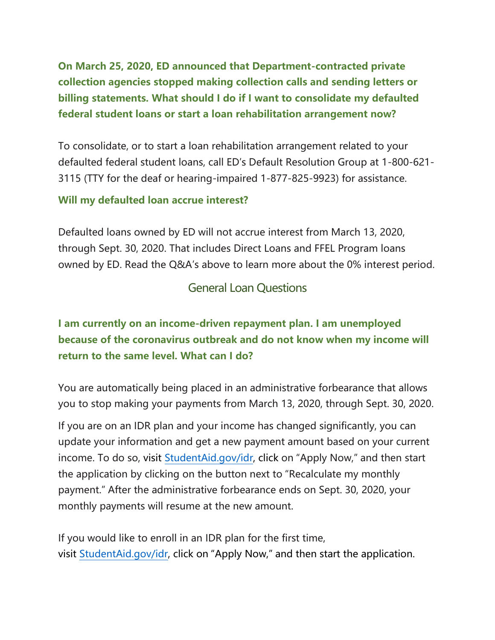**On March 25, 2020, ED announced that Department-contracted private collection agencies stopped making collection calls and sending letters or billing statements. What should I do if I want to consolidate my defaulted federal student loans or start a loan rehabilitation arrangement now?**

To consolidate, or to start a loan rehabilitation arrangement related to your defaulted federal student loans, call ED's Default Resolution Group at 1-800-621- 3115 (TTY for the deaf or hearing-impaired 1-877-825-9923) for assistance.

#### **Will my defaulted loan accrue interest?**

Defaulted loans owned by ED will not accrue interest from March 13, 2020, through Sept. 30, 2020. That includes Direct Loans and FFEL Program loans owned by ED. Read the Q&A's above to learn more about the 0% interest period.

#### General Loan Questions

## **I am currently on an income-driven repayment plan. I am unemployed because of the coronavirus outbreak and do not know when my income will return to the same level. What can I do?**

You are automatically being placed in an administrative forbearance that allows you to stop making your payments from March 13, 2020, through Sept. 30, 2020.

If you are on an IDR plan and your income has changed significantly, you can update your information and get a new payment amount based on your current income. To do so, visit [StudentAid.gov/idr,](https://studentaid.gov/manage-loans/repayment/plans/income-driven) click on "Apply Now," and then start the application by clicking on the button next to "Recalculate my monthly payment." After the administrative forbearance ends on Sept. 30, 2020, your monthly payments will resume at the new amount.

If you would like to enroll in an IDR plan for the first time, visit [StudentAid.gov/idr](https://studentaid.gov/manage-loans/repayment/plans/income-driven), click on "Apply Now," and then start the application.